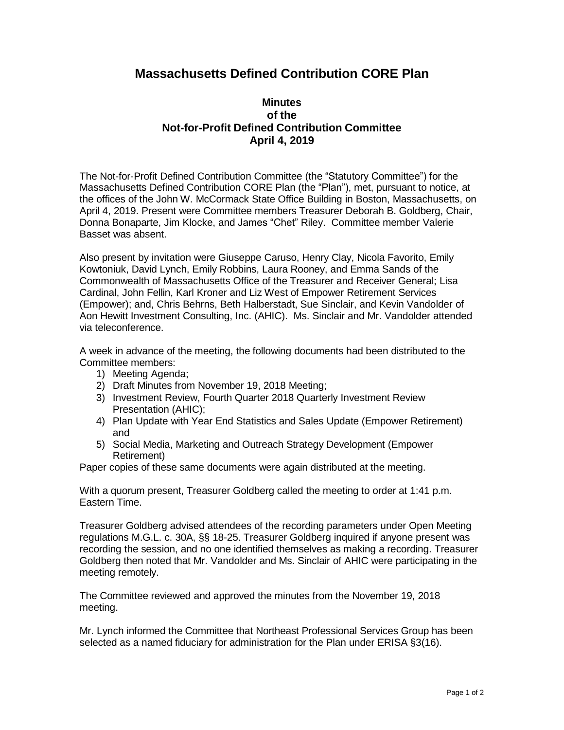## **Massachusetts Defined Contribution CORE Plan**

## **Minutes of the Not-for-Profit Defined Contribution Committee April 4, 2019**

The Not-for-Profit Defined Contribution Committee (the "Statutory Committee") for the Massachusetts Defined Contribution CORE Plan (the "Plan"), met, pursuant to notice, at the offices of the John W. McCormack State Office Building in Boston, Massachusetts, on April 4, 2019. Present were Committee members Treasurer Deborah B. Goldberg, Chair, Donna Bonaparte, Jim Klocke, and James "Chet" Riley. Committee member Valerie Basset was absent.

Also present by invitation were Giuseppe Caruso, Henry Clay, Nicola Favorito, Emily Kowtoniuk, David Lynch, Emily Robbins, Laura Rooney, and Emma Sands of the Commonwealth of Massachusetts Office of the Treasurer and Receiver General; Lisa Cardinal, John Fellin, Karl Kroner and Liz West of Empower Retirement Services (Empower); and, Chris Behrns, Beth Halberstadt, Sue Sinclair, and Kevin Vandolder of Aon Hewitt Investment Consulting, Inc. (AHIC). Ms. Sinclair and Mr. Vandolder attended via teleconference.

A week in advance of the meeting, the following documents had been distributed to the Committee members:

- 1) Meeting Agenda;
- 2) Draft Minutes from November 19, 2018 Meeting;
- 3) Investment Review, Fourth Quarter 2018 Quarterly Investment Review Presentation (AHIC);
- 4) Plan Update with Year End Statistics and Sales Update (Empower Retirement) and
- 5) Social Media, Marketing and Outreach Strategy Development (Empower Retirement)

Paper copies of these same documents were again distributed at the meeting.

With a quorum present, Treasurer Goldberg called the meeting to order at 1:41 p.m. Eastern Time.

Treasurer Goldberg advised attendees of the recording parameters under Open Meeting regulations M.G.L. c. 30A, §§ 18-25. Treasurer Goldberg inquired if anyone present was recording the session, and no one identified themselves as making a recording. Treasurer Goldberg then noted that Mr. Vandolder and Ms. Sinclair of AHIC were participating in the meeting remotely.

The Committee reviewed and approved the minutes from the November 19, 2018 meeting.

Mr. Lynch informed the Committee that Northeast Professional Services Group has been selected as a named fiduciary for administration for the Plan under ERISA §3(16).